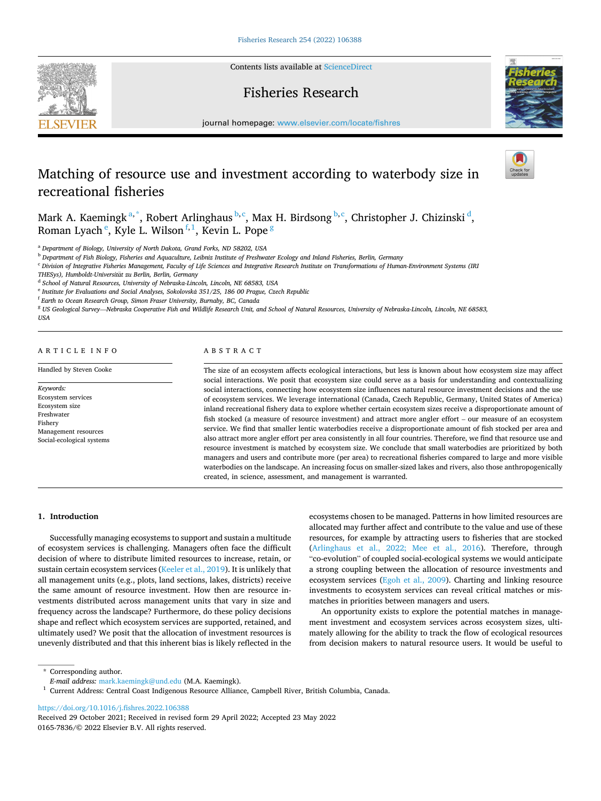Contents lists available at [ScienceDirect](www.sciencedirect.com/science/journal/01657836)

## Fisheries Research



# Matching of resource use and investment according to waterbody size in recreational fisheries

Mark A. Kaemingk $a^*$ , Robert Arlinghaus  $b,c$ , Max H. Birdsong  $b,c$ , Christopher J. Chizinski $d$ , Roman Lyach  $\mathrm{^e}\!,$  Kyle L. Wilson $\mathrm{^{f,1}}\!,$  Kevin L. Pope  $\mathrm{^g}\,$ 

<sup>a</sup> *Department of Biology, University of North Dakota, Grand Forks, ND 58202, USA* 

<sup>b</sup> *Department of Fish Biology, Fisheries and Aquaculture, Leibniz Institute of Freshwater Ecology and Inland Fisheries, Berlin, Germany* 

<sup>c</sup> Division of Integrative Fisheries Management, Faculty of Life Sciences and Integrative Research Institute on Transformations of Human-Environment Systems (IRI

*THESys), Humboldt-Universitat* ¨ *zu Berlin, Berlin, Germany* 

<sup>d</sup> *School of Natural Resources, University of Nebraska-Lincoln, Lincoln, NE 68583, USA* 

<sup>e</sup> *Institute for Evaluations and Social Analyses, Sokolovska* ´ *351/25, 186 00 Prague, Czech Republic* 

<sup>f</sup> *Earth to Ocean Research Group, Simon Fraser University, Burnaby, BC, Canada* 

<sup>g</sup> *US Geological Survey*—*Nebraska Cooperative Fish and Wildlife Research Unit, and School of Natural Resources, University of Nebraska-Lincoln, Lincoln, NE 68583, USA* 

## ARTICLE INFO

Handled by Steven Cooke

*Keywords:*  Ecosystem services Ecosystem size Freshwater Fishery Management resources Social-ecological systems

## ABSTRACT

The size of an ecosystem affects ecological interactions, but less is known about how ecosystem size may affect social interactions. We posit that ecosystem size could serve as a basis for understanding and contextualizing social interactions, connecting how ecosystem size influences natural resource investment decisions and the use of ecosystem services. We leverage international (Canada, Czech Republic, Germany, United States of America) inland recreational fishery data to explore whether certain ecosystem sizes receive a disproportionate amount of fish stocked (a measure of resource investment) and attract more angler effort – our measure of an ecosystem service. We find that smaller lentic waterbodies receive a disproportionate amount of fish stocked per area and also attract more angler effort per area consistently in all four countries. Therefore, we find that resource use and resource investment is matched by ecosystem size. We conclude that small waterbodies are prioritized by both managers and users and contribute more (per area) to recreational fisheries compared to large and more visible waterbodies on the landscape. An increasing focus on smaller-sized lakes and rivers, also those anthropogenically created, in science, assessment, and management is warranted.

#### **1. Introduction**

Successfully managing ecosystems to support and sustain a multitude of ecosystem services is challenging. Managers often face the difficult decision of where to distribute limited resources to increase, retain, or sustain certain ecosystem services [\(Keeler et al., 2019\)](#page-5-0). It is unlikely that all management units (e.g., plots, land sections, lakes, districts) receive the same amount of resource investment. How then are resource investments distributed across management units that vary in size and frequency across the landscape? Furthermore, do these policy decisions shape and reflect which ecosystem services are supported, retained, and ultimately used? We posit that the allocation of investment resources is unevenly distributed and that this inherent bias is likely reflected in the

ecosystems chosen to be managed. Patterns in how limited resources are allocated may further affect and contribute to the value and use of these resources, for example by attracting users to fisheries that are stocked ([Arlinghaus et al., 2022; Mee et al., 2016](#page-4-0)). Therefore, through "co-evolution" of coupled social-ecological systems we would anticipate a strong coupling between the allocation of resource investments and ecosystem services [\(Egoh et al., 2009\)](#page-5-0). Charting and linking resource investments to ecosystem services can reveal critical matches or mismatches in priorities between managers and users.

An opportunity exists to explore the potential matches in management investment and ecosystem services across ecosystem sizes, ultimately allowing for the ability to track the flow of ecological resources from decision makers to natural resource users. It would be useful to

<https://doi.org/10.1016/j.fishres.2022.106388>

0165-7836/© 2022 Elsevier B.V. All rights reserved. Received 29 October 2021; Received in revised form 29 April 2022; Accepted 23 May 2022





<sup>\*</sup> Corresponding author.<br>E-mail address: mark.kaemingk@und.edu (M.A. Kaemingk).

<sup>&</sup>lt;sup>1</sup> Current Address: Central Coast Indigenous Resource Alliance, Campbell River, British Columbia, Canada.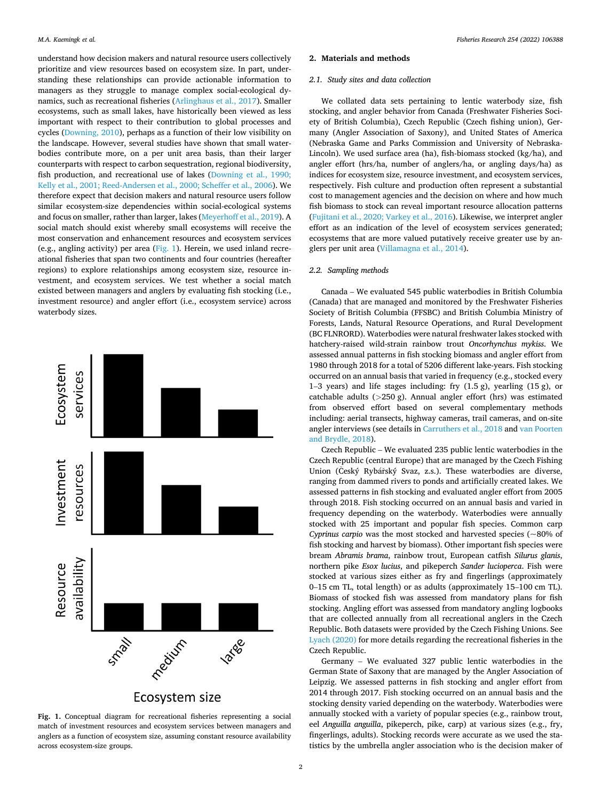<span id="page-1-0"></span>understand how decision makers and natural resource users collectively prioritize and view resources based on ecosystem size. In part, understanding these relationships can provide actionable information to managers as they struggle to manage complex social-ecological dynamics, such as recreational fisheries ([Arlinghaus et al., 2017](#page-4-0)). Smaller ecosystems, such as small lakes, have historically been viewed as less important with respect to their contribution to global processes and cycles ([Downing, 2010](#page-5-0)), perhaps as a function of their low visibility on the landscape. However, several studies have shown that small waterbodies contribute more, on a per unit area basis, than their larger counterparts with respect to carbon sequestration, regional biodiversity, fish production, and recreational use of lakes [\(Downing et al., 1990;](#page-5-0)  [Kelly et al., 2001; Reed-Andersen et al., 2000; Scheffer et al., 2006](#page-5-0)). We therefore expect that decision makers and natural resource users follow similar ecosystem-size dependencies within social-ecological systems and focus on smaller, rather than larger, lakes ([Meyerhoff et al., 2019](#page-5-0)). A social match should exist whereby small ecosystems will receive the most conservation and enhancement resources and ecosystem services (e.g., angling activity) per area (Fig. 1). Herein, we used inland recreational fisheries that span two continents and four countries (hereafter regions) to explore relationships among ecosystem size, resource investment, and ecosystem services. We test whether a social match existed between managers and anglers by evaluating fish stocking (i.e., investment resource) and angler effort (i.e., ecosystem service) across waterbody sizes.



**Fig. 1.** Conceptual diagram for recreational fisheries representing a social match of investment resources and ecosystem services between managers and anglers as a function of ecosystem size, assuming constant resource availability across ecosystem-size groups.

#### **2. Materials and methods**

#### *2.1. Study sites and data collection*

We collated data sets pertaining to lentic waterbody size, fish stocking, and angler behavior from Canada (Freshwater Fisheries Society of British Columbia), Czech Republic (Czech fishing union), Germany (Angler Association of Saxony), and United States of America (Nebraska Game and Parks Commission and University of Nebraska-Lincoln). We used surface area (ha), fish-biomass stocked (kg/ha), and angler effort (hrs/ha, number of anglers/ha, or angling days/ha) as indices for ecosystem size, resource investment, and ecosystem services, respectively. Fish culture and production often represent a substantial cost to management agencies and the decision on where and how much fish biomass to stock can reveal important resource allocation patterns ([Fujitani et al., 2020; Varkey et al., 2016\)](#page-5-0). Likewise, we interpret angler effort as an indication of the level of ecosystem services generated; ecosystems that are more valued putatively receive greater use by anglers per unit area ([Villamagna et al., 2014](#page-5-0)).

## *2.2. Sampling methods*

Canada – We evaluated 545 public waterbodies in British Columbia (Canada) that are managed and monitored by the Freshwater Fisheries Society of British Columbia (FFSBC) and British Columbia Ministry of Forests, Lands, Natural Resource Operations, and Rural Development (BC FLNRORD). Waterbodies were natural freshwater lakes stocked with hatchery-raised wild-strain rainbow trout *Oncorhynchus mykiss*. We assessed annual patterns in fish stocking biomass and angler effort from 1980 through 2018 for a total of 5206 different lake-years. Fish stocking occurred on an annual basis that varied in frequency (e.g., stocked every 1–3 years) and life stages including: fry (1.5 g), yearling (15 g), or catchable adults (*>*250 g). Annual angler effort (hrs) was estimated from observed effort based on several complementary methods including: aerial transects, highway cameras, trail cameras, and on-site angler interviews (see details in [Carruthers et al., 2018](#page-4-0) and [van Poorten](#page-5-0)  [and Brydle, 2018\)](#page-5-0).

Czech Republic – We evaluated 235 public lentic waterbodies in the Czech Republic (central Europe) that are managed by the Czech Fishing Union (Český Rybářský Svaz, z.s.). These waterbodies are diverse, ranging from dammed rivers to ponds and artificially created lakes. We assessed patterns in fish stocking and evaluated angler effort from 2005 through 2018. Fish stocking occurred on an annual basis and varied in frequency depending on the waterbody. Waterbodies were annually stocked with 25 important and popular fish species. Common carp *Cyprinus carpio* was the most stocked and harvested species (~80% of fish stocking and harvest by biomass). Other important fish species were bream *Abramis brama*, rainbow trout, European catfish *Silurus glanis*, northern pike *Esox lucius*, and pikeperch *Sander lucioperca*. Fish were stocked at various sizes either as fry and fingerlings (approximately 0–15 cm TL, total length) or as adults (approximately 15–100 cm TL). Biomass of stocked fish was assessed from mandatory plans for fish stocking. Angling effort was assessed from mandatory angling logbooks that are collected annually from all recreational anglers in the Czech Republic. Both datasets were provided by the Czech Fishing Unions. See [Lyach \(2020\)](#page-5-0) for more details regarding the recreational fisheries in the Czech Republic.

Germany – We evaluated 327 public lentic waterbodies in the German State of Saxony that are managed by the Angler Association of Leipzig. We assessed patterns in fish stocking and angler effort from 2014 through 2017. Fish stocking occurred on an annual basis and the stocking density varied depending on the waterbody. Waterbodies were annually stocked with a variety of popular species (e.g., rainbow trout, eel *Anguilla anguilla*, pikeperch, pike, carp) at various sizes (e.g., fry, fingerlings, adults). Stocking records were accurate as we used the statistics by the umbrella angler association who is the decision maker of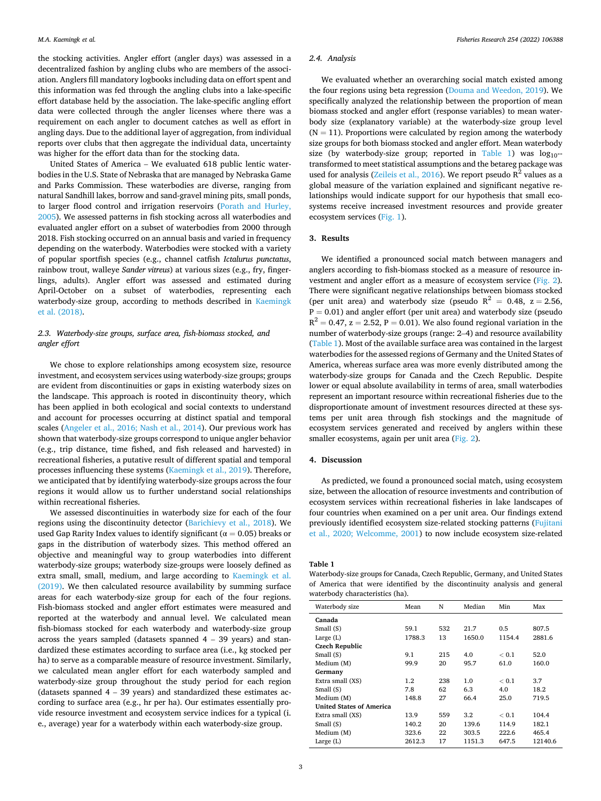the stocking activities. Angler effort (angler days) was assessed in a decentralized fashion by angling clubs who are members of the association. Anglers fill mandatory logbooks including data on effort spent and this information was fed through the angling clubs into a lake-specific effort database held by the association. The lake-specific angling effort data were collected through the angler licenses where there was a requirement on each angler to document catches as well as effort in angling days. Due to the additional layer of aggregation, from individual reports over clubs that then aggregate the individual data, uncertainty was higher for the effort data than for the stocking data.

United States of America – We evaluated 618 public lentic waterbodies in the U.S. State of Nebraska that are managed by Nebraska Game and Parks Commission. These waterbodies are diverse, ranging from natural Sandhill lakes, borrow and sand-gravel mining pits, small ponds, to larger flood control and irrigation reservoirs [\(Porath and Hurley,](#page-5-0)  [2005\)](#page-5-0). We assessed patterns in fish stocking across all waterbodies and evaluated angler effort on a subset of waterbodies from 2000 through 2018. Fish stocking occurred on an annual basis and varied in frequency depending on the waterbody. Waterbodies were stocked with a variety of popular sportfish species (e.g., channel catfish *Ictalurus punctatus*, rainbow trout, walleye *Sander vitreus*) at various sizes (e.g., fry, fingerlings, adults). Angler effort was assessed and estimated during April-October on a subset of waterbodies, representing each waterbody-size group, according to methods described in [Kaemingk](#page-5-0)  [et al. \(2018\).](#page-5-0)

## *2.3. Waterbody-size groups, surface area, fish-biomass stocked, and angler effort*

We chose to explore relationships among ecosystem size, resource investment, and ecosystem services using waterbody-size groups; groups are evident from discontinuities or gaps in existing waterbody sizes on the landscape. This approach is rooted in discontinuity theory, which has been applied in both ecological and social contexts to understand and account for processes occurring at distinct spatial and temporal scales ([Angeler et al., 2016; Nash et al., 2014\)](#page-4-0). Our previous work has shown that waterbody-size groups correspond to unique angler behavior (e.g., trip distance, time fished, and fish released and harvested) in recreational fisheries, a putative result of different spatial and temporal processes influencing these systems [\(Kaemingk et al., 2019\)](#page-5-0). Therefore, we anticipated that by identifying waterbody-size groups across the four regions it would allow us to further understand social relationships within recreational fisheries.

We assessed discontinuities in waterbody size for each of the four regions using the discontinuity detector ([Barichievy et al., 2018](#page-4-0)). We used Gap Rarity Index values to identify significant ( $\alpha = 0.05$ ) breaks or gaps in the distribution of waterbody sizes. This method offered an objective and meaningful way to group waterbodies into different waterbody-size groups; waterbody size-groups were loosely defined as extra small, small, medium, and large according to [Kaemingk et al.](#page-5-0)  [\(2019\).](#page-5-0) We then calculated resource availability by summing surface areas for each waterbody-size group for each of the four regions. Fish-biomass stocked and angler effort estimates were measured and reported at the waterbody and annual level. We calculated mean fish-biomass stocked for each waterbody and waterbody-size group across the years sampled (datasets spanned  $4 - 39$  years) and standardized these estimates according to surface area (i.e., kg stocked per ha) to serve as a comparable measure of resource investment. Similarly, we calculated mean angler effort for each waterbody sampled and waterbody-size group throughout the study period for each region (datasets spanned 4 – 39 years) and standardized these estimates according to surface area (e.g., hr per ha). Our estimates essentially provide resource investment and ecosystem service indices for a typical (i. e., average) year for a waterbody within each waterbody-size group.

#### *2.4. Analysis*

We evaluated whether an overarching social match existed among the four regions using beta regression ([Douma and Weedon, 2019\)](#page-5-0). We specifically analyzed the relationship between the proportion of mean biomass stocked and angler effort (response variables) to mean waterbody size (explanatory variable) at the waterbody-size group level  $(N = 11)$ . Proportions were calculated by region among the waterbody size groups for both biomass stocked and angler effort. Mean waterbody size (by waterbody-size group; reported in Table 1) was  $log_{10}$ -transformed to meet statistical assumptions and the betareg package was used for analysis ([Zeileis et al., 2016](#page-5-0)). We report pseudo  $R^2$  values as a global measure of the variation explained and significant negative relationships would indicate support for our hypothesis that small ecosystems receive increased investment resources and provide greater ecosystem services ([Fig. 1\)](#page-1-0).

## **3. Results**

We identified a pronounced social match between managers and anglers according to fish-biomass stocked as a measure of resource investment and angler effort as a measure of ecosystem service ([Fig. 2](#page-3-0)). There were significant negative relationships between biomass stocked (per unit area) and waterbody size (pseudo  $R^2 = 0.48$ ,  $z = 2.56$ ,  $P = 0.01$ ) and angler effort (per unit area) and waterbody size (pseudo  $R^2 = 0.47$ ,  $z = 2.52$ ,  $P = 0.01$ ). We also found regional variation in the number of waterbody-size groups (range: 2–4) and resource availability (Table 1). Most of the available surface area was contained in the largest waterbodies for the assessed regions of Germany and the United States of America, whereas surface area was more evenly distributed among the waterbody-size groups for Canada and the Czech Republic. Despite lower or equal absolute availability in terms of area, small waterbodies represent an important resource within recreational fisheries due to the disproportionate amount of investment resources directed at these systems per unit area through fish stockings and the magnitude of ecosystem services generated and received by anglers within these smaller ecosystems, again per unit area [\(Fig. 2](#page-3-0)).

#### **4. Discussion**

As predicted, we found a pronounced social match, using ecosystem size, between the allocation of resource investments and contribution of ecosystem services within recreational fisheries in lake landscapes of four countries when examined on a per unit area. Our findings extend previously identified ecosystem size-related stocking patterns [\(Fujitani](#page-5-0)  [et al., 2020; Welcomme, 2001\)](#page-5-0) to now include ecosystem size-related

**Table 1** 

Waterbody-size groups for Canada, Czech Republic, Germany, and United States of America that were identified by the discontinuity analysis and general waterbody characteristics (ha).

| Waterbody size                  | Mean    | N   | Median | Min    | Max     |
|---------------------------------|---------|-----|--------|--------|---------|
| Canada                          |         |     |        |        |         |
| Small (S)                       | 59.1    | 532 | 21.7   | 0.5    | 807.5   |
| Large $(L)$                     | 1788.3  | 13  | 1650.0 | 1154.4 | 2881.6  |
| <b>Czech Republic</b>           |         |     |        |        |         |
| Small (S)                       | 9.1     | 215 | 4.0    | < 0.1  | 52.0    |
| Medium (M)                      | 99.9    | 20  | 95.7   | 61.0   | 160.0   |
| Germany                         |         |     |        |        |         |
| Extra small (XS)                | $1.2\,$ | 238 | 1.0    | < 0.1  | 3.7     |
| Small (S)                       | 7.8     | 62  | 6.3    | 4.0    | 18.2    |
| Medium (M)                      | 148.8   | 27  | 66.4   | 25.0   | 719.5   |
| <b>United States of America</b> |         |     |        |        |         |
| Extra small (XS)                | 13.9    | 559 | 3.2    | < 0.1  | 104.4   |
| Small (S)                       | 140.2   | 20  | 139.6  | 114.9  | 182.1   |
| Medium (M)                      | 323.6   | 22  | 303.5  | 222.6  | 465.4   |
| Large $(L)$                     | 2612.3  | 17  | 1151.3 | 647.5  | 12140.6 |
|                                 |         |     |        |        |         |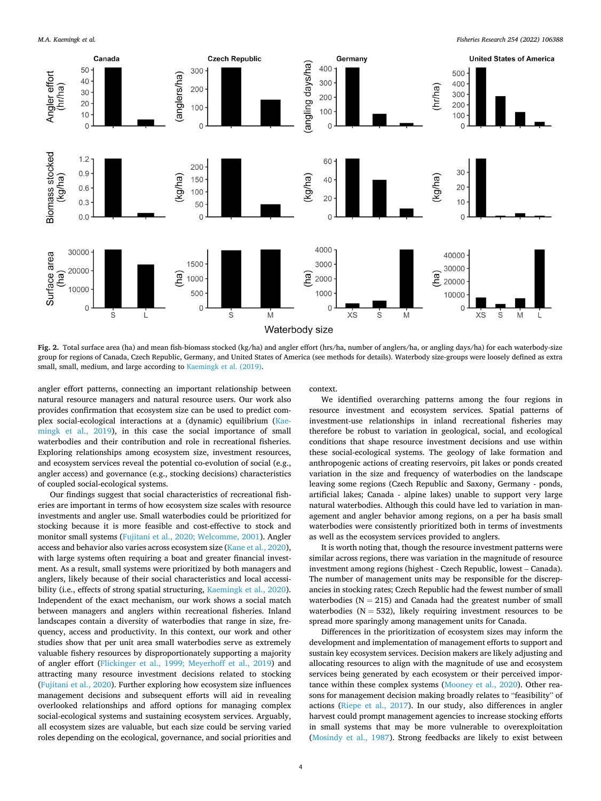*Fisheries Research 254 (2022) 106388*

<span id="page-3-0"></span>

**Fig. 2.** Total surface area (ha) and mean fish-biomass stocked (kg/ha) and angler effort (hrs/ha, number of anglers/ha, or angling days/ha) for each waterbody-size group for regions of Canada, Czech Republic, Germany, and United States of America (see methods for details). Waterbody size-groups were loosely defined as extra small, small, medium, and large according to [Kaemingk et al. \(2019\)](#page-5-0).

angler effort patterns, connecting an important relationship between natural resource managers and natural resource users. Our work also provides confirmation that ecosystem size can be used to predict complex social-ecological interactions at a (dynamic) equilibrium [\(Kae](#page-5-0)[mingk et al., 2019\)](#page-5-0), in this case the social importance of small waterbodies and their contribution and role in recreational fisheries. Exploring relationships among ecosystem size, investment resources, and ecosystem services reveal the potential co-evolution of social (e.g., angler access) and governance (e.g., stocking decisions) characteristics of coupled social-ecological systems.

Our findings suggest that social characteristics of recreational fisheries are important in terms of how ecosystem size scales with resource investments and angler use. Small waterbodies could be prioritized for stocking because it is more feasible and cost-effective to stock and monitor small systems ([Fujitani et al., 2020; Welcomme, 2001\)](#page-5-0). Angler access and behavior also varies across ecosystem size [\(Kane et al., 2020](#page-5-0)), with large systems often requiring a boat and greater financial investment. As a result, small systems were prioritized by both managers and anglers, likely because of their social characteristics and local accessibility (i.e., effects of strong spatial structuring, [Kaemingk et al., 2020](#page-5-0)). Independent of the exact mechanism, our work shows a social match between managers and anglers within recreational fisheries. Inland landscapes contain a diversity of waterbodies that range in size, frequency, access and productivity. In this context, our work and other studies show that per unit area small waterbodies serve as extremely valuable fishery resources by disproportionately supporting a majority of angler effort ([Flickinger et al., 1999; Meyerhoff et al., 2019](#page-5-0)) and attracting many resource investment decisions related to stocking ([Fujitani et al., 2020](#page-5-0)). Further exploring how ecosystem size influences management decisions and subsequent efforts will aid in revealing overlooked relationships and afford options for managing complex social-ecological systems and sustaining ecosystem services. Arguably, all ecosystem sizes are valuable, but each size could be serving varied roles depending on the ecological, governance, and social priorities and context.

We identified overarching patterns among the four regions in resource investment and ecosystem services. Spatial patterns of investment-use relationships in inland recreational fisheries may therefore be robust to variation in geological, social, and ecological conditions that shape resource investment decisions and use within these social-ecological systems. The geology of lake formation and anthropogenic actions of creating reservoirs, pit lakes or ponds created variation in the size and frequency of waterbodies on the landscape leaving some regions (Czech Republic and Saxony, Germany - ponds, artificial lakes; Canada - alpine lakes) unable to support very large natural waterbodies. Although this could have led to variation in management and angler behavior among regions, on a per ha basis small waterbodies were consistently prioritized both in terms of investments as well as the ecosystem services provided to anglers.

It is worth noting that, though the resource investment patterns were similar across regions, there was variation in the magnitude of resource investment among regions (highest - Czech Republic, lowest – Canada). The number of management units may be responsible for the discrepancies in stocking rates; Czech Republic had the fewest number of small waterbodies ( $N = 215$ ) and Canada had the greatest number of small waterbodies ( $N = 532$ ), likely requiring investment resources to be spread more sparingly among management units for Canada.

Differences in the prioritization of ecosystem sizes may inform the development and implementation of management efforts to support and sustain key ecosystem services. Decision makers are likely adjusting and allocating resources to align with the magnitude of use and ecosystem services being generated by each ecosystem or their perceived importance within these complex systems ([Mooney et al., 2020\)](#page-5-0). Other reasons for management decision making broadly relates to "feasibility" of actions [\(Riepe et al., 2017\)](#page-5-0). In our study, also differences in angler harvest could prompt management agencies to increase stocking efforts in small systems that may be more vulnerable to overexploitation ([Mosindy et al., 1987](#page-5-0)). Strong feedbacks are likely to exist between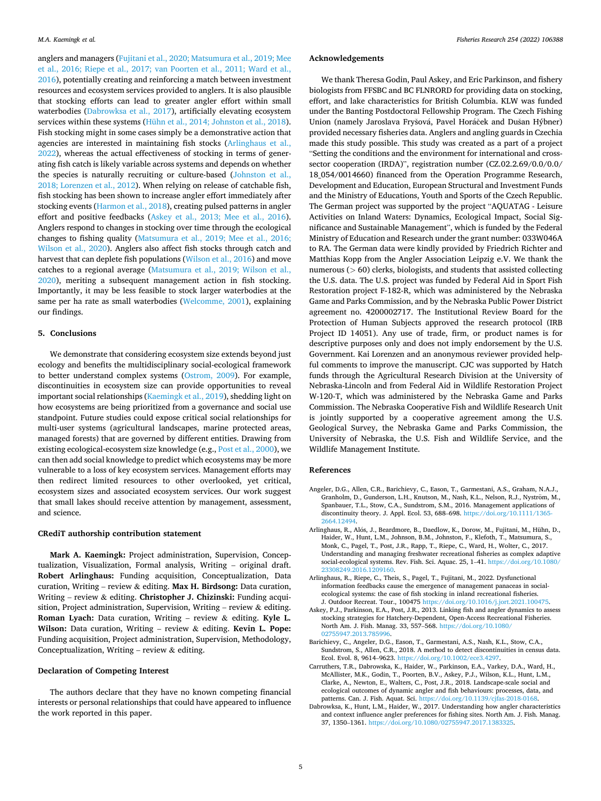<span id="page-4-0"></span>anglers and managers ([Fujitani et al., 2020; Matsumura et al., 2019; Mee](#page-5-0)  [et al., 2016; Riepe et al., 2017; van Poorten et al., 2011; Ward et al.,](#page-5-0)  [2016\)](#page-5-0), potentially creating and reinforcing a match between investment resources and ecosystem services provided to anglers. It is also plausible that stocking efforts can lead to greater angler effort within small waterbodies (Dabrowksa et al., 2017), artificially elevating ecosystem services within these systems ([Hühn et al., 2014; Johnston et al., 2018](#page-5-0)). Fish stocking might in some cases simply be a demonstrative action that agencies are interested in maintaining fish stocks (Arlinghaus et al., 2022), whereas the actual effectiveness of stocking in terms of generating fish catch is likely variable across systems and depends on whether the species is naturally recruiting or culture-based [\(Johnston et al.,](#page-5-0)  [2018; Lorenzen et al., 2012](#page-5-0)). When relying on release of catchable fish, fish stocking has been shown to increase angler effort immediately after stocking events ([Harmon et al., 2018](#page-5-0)), creating pulsed patterns in angler effort and positive feedbacks (Askey et al., 2013; Mee et al., 2016). Anglers respond to changes in stocking over time through the ecological changes to fishing quality ([Matsumura et al., 2019; Mee et al., 2016;](#page-5-0)  [Wilson et al., 2020](#page-5-0)). Anglers also affect fish stocks through catch and harvest that can deplete fish populations [\(Wilson et al., 2016\)](#page-5-0) and move catches to a regional average [\(Matsumura et al., 2019; Wilson et al.,](#page-5-0)  [2020\)](#page-5-0), meriting a subsequent management action in fish stocking. Importantly, it may be less feasible to stock larger waterbodies at the same per ha rate as small waterbodies [\(Welcomme, 2001\)](#page-5-0), explaining our findings.

#### **5. Conclusions**

We demonstrate that considering ecosystem size extends beyond just ecology and benefits the multidisciplinary social-ecological framework to better understand complex systems ([Ostrom, 2009\)](#page-5-0). For example, discontinuities in ecosystem size can provide opportunities to reveal important social relationships ([Kaemingk et al., 2019\)](#page-5-0), shedding light on how ecosystems are being prioritized from a governance and social use standpoint. Future studies could expose critical social relationships for multi-user systems (agricultural landscapes, marine protected areas, managed forests) that are governed by different entities. Drawing from existing ecological-ecosystem size knowledge (e.g., [Post et al., 2000\)](#page-5-0), we can then add social knowledge to predict which ecosystems may be more vulnerable to a loss of key ecosystem services. Management efforts may then redirect limited resources to other overlooked, yet critical, ecosystem sizes and associated ecosystem services. Our work suggest that small lakes should receive attention by management, assessment, and science.

#### **CRediT authorship contribution statement**

**Mark A. Kaemingk:** Project administration, Supervision, Conceptualization, Visualization, Formal analysis, Writing – original draft. **Robert Arlinghaus:** Funding acquisition, Conceptualization, Data curation, Writing – review & editing. **Max H. Birdsong:** Data curation, Writing – review & editing. **Christopher J. Chizinski:** Funding acquisition, Project administration, Supervision, Writing – review & editing. **Roman Lyach:** Data curation, Writing – review & editing. **Kyle L. Wilson:** Data curation, Writing – review & editing. **Kevin L. Pope:**  Funding acquisition, Project administration, Supervision, Methodology, Conceptualization, Writing – review  $\&$  editing.

#### **Declaration of Competing Interest**

The authors declare that they have no known competing financial interests or personal relationships that could have appeared to influence the work reported in this paper.

#### **Acknowledgements**

We thank Theresa Godin, Paul Askey, and Eric Parkinson, and fishery biologists from FFSBC and BC FLNRORD for providing data on stocking, effort, and lake characteristics for British Columbia. KLW was funded under the Banting Postdoctoral Fellowship Program. The Czech Fishing Union (namely Jaroslava Fryšová, Pavel Horáček and Dušan Hýbner) provided necessary fisheries data. Anglers and angling guards in Czechia made this study possible. This study was created as a part of a project "Setting the conditions and the environment for international and crosssector cooperation (IRDA)", registration number (CZ.02.2.69/0.0/0.0/ 18\_054/0014660) financed from the Operation Programme Research, Development and Education, European Structural and Investment Funds and the Ministry of Educations, Youth and Sports of the Czech Republic. The German project was supported by the project "AQUATAG - Leisure Activities on Inland Waters: Dynamics, Ecological Impact, Social Significance and Sustainable Management", which is funded by the Federal Ministry of Education and Research under the grant number: 033W046A to RA. The German data were kindly provided by Friedrich Richter and Matthias Kopp from the Angler Association Leipzig e.V. We thank the numerous (*>* 60) clerks, biologists, and students that assisted collecting the U.S. data. The U.S. project was funded by Federal Aid in Sport Fish Restoration project F-182-R, which was administered by the Nebraska Game and Parks Commission, and by the Nebraska Public Power District agreement no. 4200002717. The Institutional Review Board for the Protection of Human Subjects approved the research protocol (IRB Project ID 14051). Any use of trade, firm, or product names is for descriptive purposes only and does not imply endorsement by the U.S. Government. Kai Lorenzen and an anonymous reviewer provided helpful comments to improve the manuscript. CJC was supported by Hatch funds through the Agricultural Research Division at the University of Nebraska-Lincoln and from Federal Aid in Wildlife Restoration Project W-120-T, which was administered by the Nebraska Game and Parks Commission. The Nebraska Cooperative Fish and Wildlife Research Unit is jointly supported by a cooperative agreement among the U.S. Geological Survey, the Nebraska Game and Parks Commission, the University of Nebraska, the U.S. Fish and Wildlife Service, and the Wildlife Management Institute.

#### **References**

- Angeler, D.G., Allen, C.R., Barichievy, C., Eason, T., Garmestani, A.S., Graham, N.A.J., Granholm, D., Gunderson, L.H., Knutson, M., Nash, K.L., Nelson, R.J., Nyström, M., Spanbauer, T.L., Stow, C.A., Sundstrom, S.M., 2016. Management applications of discontinuity theory. J. Appl. Ecol. 53, 688–698. https://doi.org/10.1111/1365 [2664.12494.](https://doi.org/10.1111/1365-2664.12494)
- Arlinghaus, R., Alós, J., Beardmore, B., Daedlow, K., Dorow, M., Fujitani, M., Hühn, D., Haider, W., Hunt, L.M., Johnson, B.M., Johnston, F., Klefoth, T., Matsumura, S., Monk, C., Pagel, T., Post, J.R., Rapp, T., Riepe, C., Ward, H., Wolter, C., 2017. Understanding and managing freshwater recreational fisheries as complex adaptive social-ecological systems. Rev. Fish. Sci. Aquac. 25, 1–41. [https://doi.org/10.1080/](https://doi.org/10.1080/23308249.2016.1209160)  [23308249.2016.1209160](https://doi.org/10.1080/23308249.2016.1209160).
- Arlinghaus, R., Riepe, C., Theis, S., Pagel, T., Fujitani, M., 2022. Dysfunctional information feedbacks cause the emergence of management panaceas in socialecological systems: the case of fish stocking in inland recreational fisheries. J. Outdoor Recreat. Tour., 100475 [https://doi.org/10.1016/j.jort.2021.100475.](https://doi.org/10.1016/j.jort.2021.100475)
- Askey, P.J., Parkinson, E.A., Post, J.R., 2013. Linking fish and angler dynamics to assess stocking strategies for Hatchery-Dependent, Open-Access Recreational Fisheries. North Am. J. Fish. Manag. 33, 557–568. [https://doi.org/10.1080/](https://doi.org/10.1080/02755947.2013.785996)  02755947.2013.78599
- Barichievy, C., Angeler, D.G., Eason, T., Garmestani, A.S., Nash, K.L., Stow, C.A., Sundstrom, S., Allen, C.R., 2018. A method to detect discontinuities in census data. Ecol. Evol. 8, 9614–9623. [https://doi.org/10.1002/ece3.4297.](https://doi.org/10.1002/ece3.4297)
- Carruthers, T.R., Dabrowska, K., Haider, W., Parkinson, E.A., Varkey, D.A., Ward, H., McAllister, M.K., Godin, T., Poorten, B.V., Askey, P.J., Wilson, K.L., Hunt, L.M., Clarke, A., Newton, E., Walters, C., Post, J.R., 2018. Landscape-scale social and ecological outcomes of dynamic angler and fish behaviours: processes, data, and patterns. Can. J. Fish. Aquat. Sci. [https://doi.org/10.1139/cjfas-2018-0168.](https://doi.org/10.1139/cjfas-2018-0168)
- Dabrowksa, K., Hunt, L.M., Haider, W., 2017. Understanding how angler characteristics and context influence angler preferences for fishing sites. North Am. J. Fish. Manag. 37, 1350–1361.<https://doi.org/10.1080/02755947.2017.1383325>.